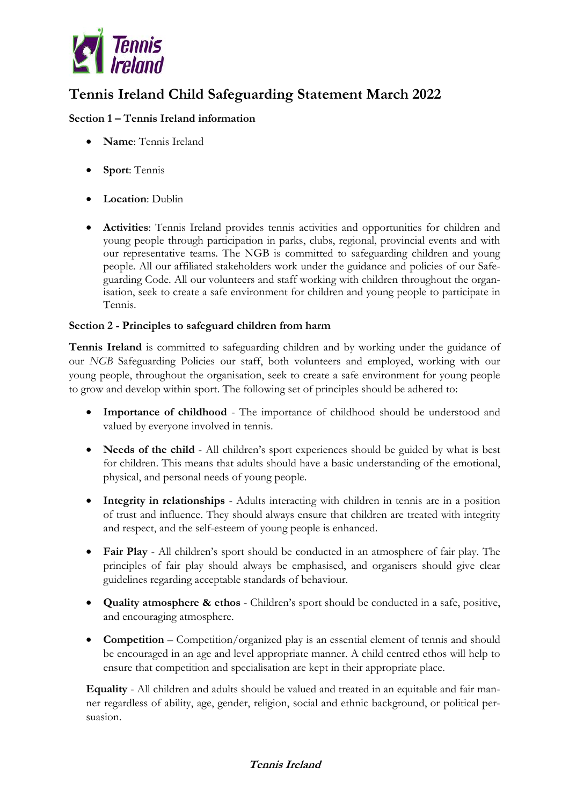

# **Tennis Ireland Child Safeguarding Statement March 2022**

## **Section 1 – Tennis Ireland information**

- **Name**: Tennis Ireland
- **Sport**: Tennis
- **Location**: Dublin
- **Activities**: Tennis Ireland provides tennis activities and opportunities for children and young people through participation in parks, clubs, regional, provincial events and with our representative teams. The NGB is committed to safeguarding children and young people. All our affiliated stakeholders work under the guidance and policies of our Safeguarding Code. All our volunteers and staff working with children throughout the organisation, seek to create a safe environment for children and young people to participate in Tennis.

### **Section 2 - Principles to safeguard children from harm**

**Tennis Ireland** is committed to safeguarding children and by working under the guidance of our *NGB* Safeguarding Policies our staff, both volunteers and employed, working with our young people, throughout the organisation, seek to create a safe environment for young people to grow and develop within sport. The following set of principles should be adhered to:

- **Importance of childhood** The importance of childhood should be understood and valued by everyone involved in tennis.
- **Needs of the child** All children's sport experiences should be guided by what is best for children. This means that adults should have a basic understanding of the emotional, physical, and personal needs of young people.
- **Integrity in relationships** Adults interacting with children in tennis are in a position of trust and influence. They should always ensure that children are treated with integrity and respect, and the self-esteem of young people is enhanced.
- **Fair Play** All children's sport should be conducted in an atmosphere of fair play. The principles of fair play should always be emphasised, and organisers should give clear guidelines regarding acceptable standards of behaviour.
- **Quality atmosphere & ethos** Children's sport should be conducted in a safe, positive, and encouraging atmosphere.
- **Competition** Competition/organized play is an essential element of tennis and should be encouraged in an age and level appropriate manner. A child centred ethos will help to ensure that competition and specialisation are kept in their appropriate place.

**Equality** - All children and adults should be valued and treated in an equitable and fair manner regardless of ability, age, gender, religion, social and ethnic background, or political persuasion.

### **Tennis Ireland**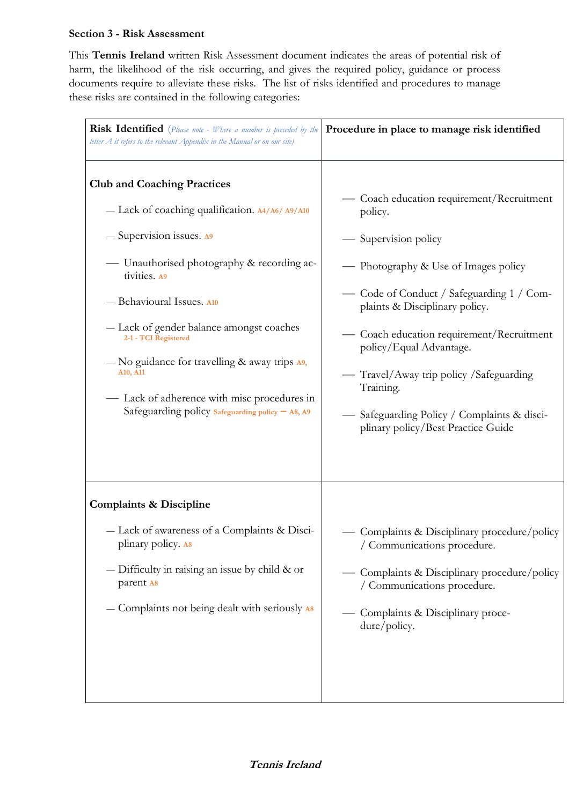#### **Section 3 - Risk Assessment**

This **Tennis Ireland** written Risk Assessment document indicates the areas of potential risk of harm, the likelihood of the risk occurring, and gives the required policy, guidance or process documents require to alleviate these risks.The list of risks identified and procedures to manage these risks are contained in the following categories:

| <b>Risk Identified</b> (Please note - Where a number is preceded by the<br>letter $A$ it refers to the relevant Appendix in the Manual or on our site) | Procedure in place to manage risk identified |
|--------------------------------------------------------------------------------------------------------------------------------------------------------|----------------------------------------------|
| <b>Club and Coaching Practices</b>                                                                                                                     | — Coach education requirement/Recruitment    |
| - Lack of coaching qualification. A4/A6/A9/A10                                                                                                         | policy.                                      |
| - Supervision issues. A9                                                                                                                               | Supervision policy                           |
| — Unauthorised photography & recording ac-                                                                                                             | — Photography & Use of Images policy         |
| tivities. A9                                                                                                                                           | — Code of Conduct / Safeguarding 1 / Com-    |
| - Behavioural Issues. A10                                                                                                                              | plaints & Disciplinary policy.               |
| - Lack of gender balance amongst coaches                                                                                                               | Coach education requirement/Recruitment      |
| 2-1 - TCI Registered                                                                                                                                   | policy/Equal Advantage.                      |
| $-$ No guidance for travelling & away trips $A9$ ,                                                                                                     | Travel/Away trip policy / Safeguarding       |
| A <sub>10</sub> , A <sub>11</sub>                                                                                                                      | Training.                                    |
| Lack of adherence with misc procedures in                                                                                                              | Safeguarding Policy / Complaints & disci-    |
| Safeguarding policy Safeguarding policy - A8, A9                                                                                                       | plinary policy/Best Practice Guide           |
| <b>Complaints &amp; Discipline</b>                                                                                                                     | Complaints & Disciplinary procedure/policy   |
| - Lack of awareness of a Complaints & Disci-                                                                                                           | / Communications procedure.                  |
| plinary policy. As                                                                                                                                     | Complaints & Disciplinary procedure/policy   |
| $-$ Difficulty in raising an issue by child & or                                                                                                       | / Communications procedure.                  |
| parent A8                                                                                                                                              | Complaints & Disciplinary proce-             |
| - Complaints not being dealt with seriously A8                                                                                                         | dure/policy.                                 |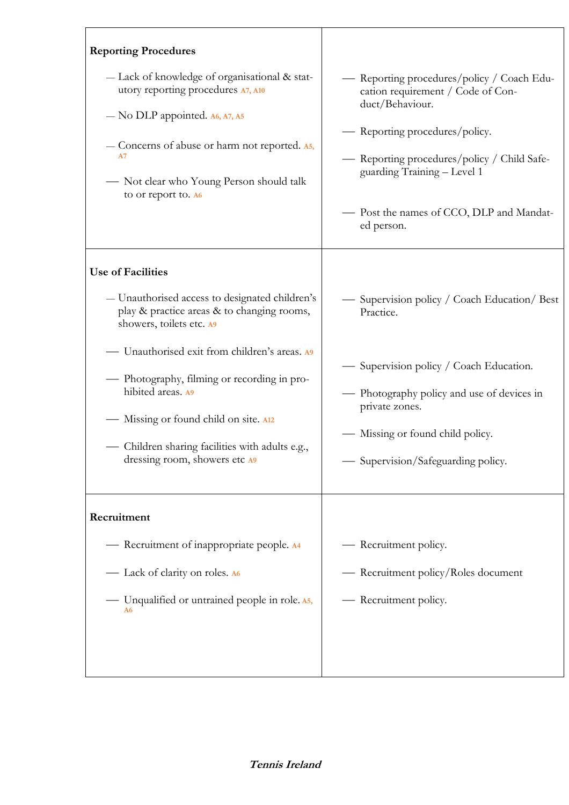| <b>Reporting Procedures</b>                                                                                                                                                                                                                                                                                                                                                                           |                                                                                                                                                                                                                                                                              |
|-------------------------------------------------------------------------------------------------------------------------------------------------------------------------------------------------------------------------------------------------------------------------------------------------------------------------------------------------------------------------------------------------------|------------------------------------------------------------------------------------------------------------------------------------------------------------------------------------------------------------------------------------------------------------------------------|
| - Lack of knowledge of organisational & stat-<br>utory reporting procedures A7, A10<br>- No DLP appointed. A6, A7, A5<br>- Concerns of abuse or harm not reported. A5,<br>А7<br>- Not clear who Young Person should talk<br>to or report to. A6                                                                                                                                                       | — Reporting procedures/policy / Coach Edu-<br>cation requirement / Code of Con-<br>duct/Behaviour.<br>— Reporting procedures/policy.<br>- Reporting procedures/policy / Child Safe-<br>guarding Training - Level 1<br>- Post the names of CCO, DLP and Mandat-<br>ed person. |
| <b>Use of Facilities</b><br>- Unauthorised access to designated children's<br>play & practice areas & to changing rooms,<br>showers, toilets etc. A9<br>- Unauthorised exit from children's areas. A<br>- Photography, filming or recording in pro-<br>hibited areas. A9<br>- Missing or found child on site. A12<br>- Children sharing facilities with adults e.g.,<br>dressing room, showers etc A9 | — Supervision policy / Coach Education/ Best<br>Practice.<br>— Supervision policy / Coach Education.<br>- Photography policy and use of devices in<br>private zones.<br>— Missing or found child policy.<br>- Supervision/Safeguarding policy.                               |
| Recruitment<br>- Recruitment of inappropriate people. A4<br>- Lack of clarity on roles. A6<br>— Unqualified or untrained people in role. A5,<br>A6                                                                                                                                                                                                                                                    | - Recruitment policy.<br>- Recruitment policy/Roles document<br>- Recruitment policy.                                                                                                                                                                                        |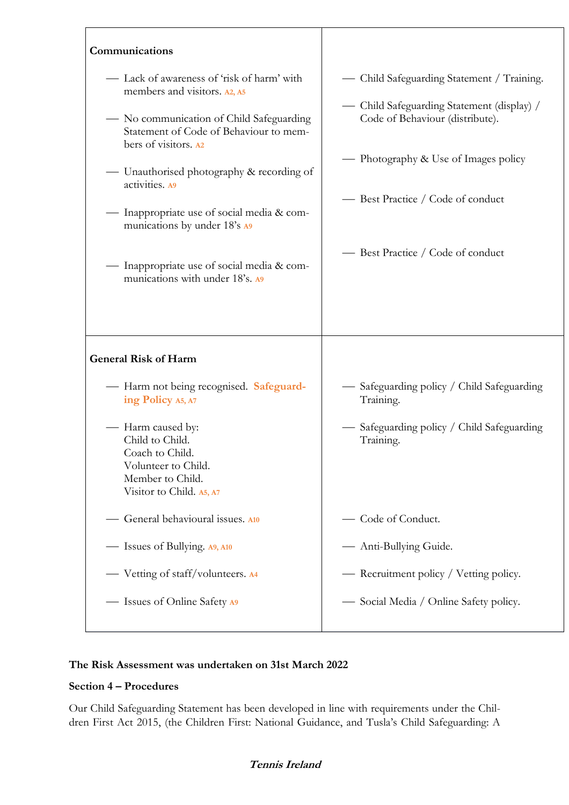| Communications                                                                                                                                                                                                                                                                                                                                                                                                      |                                                                                                                                                                                                                                               |
|---------------------------------------------------------------------------------------------------------------------------------------------------------------------------------------------------------------------------------------------------------------------------------------------------------------------------------------------------------------------------------------------------------------------|-----------------------------------------------------------------------------------------------------------------------------------------------------------------------------------------------------------------------------------------------|
| — Lack of awareness of 'risk of harm' with<br>members and visitors. A2, A5<br>- No communication of Child Safeguarding<br>Statement of Code of Behaviour to mem-<br>bers of visitors. A2<br>- Unauthorised photography & recording of<br>activities. A9<br>Inappropriate use of social media & com-<br>munications by under 18's A9<br>— Inappropriate use of social media & com-<br>munications with under 18's. A | — Child Safeguarding Statement / Training.<br>— Child Safeguarding Statement (display) /<br>Code of Behaviour (distribute).<br>— Photography & Use of Images policy<br>— Best Practice / Code of conduct<br>- Best Practice / Code of conduct |
| <b>General Risk of Harm</b>                                                                                                                                                                                                                                                                                                                                                                                         |                                                                                                                                                                                                                                               |
| - Harm not being recognised. Safeguard-<br>ing Policy A5, A7                                                                                                                                                                                                                                                                                                                                                        | Safeguarding policy / Child Safeguarding<br>Training.                                                                                                                                                                                         |
| — Harm caused by:<br>Child to Child.<br>Coach to Child.<br>Volunteer to Child.<br>Member to Child.<br>Visitor to Child. A5, A7                                                                                                                                                                                                                                                                                      | Safeguarding policy / Child Safeguarding<br>Training.                                                                                                                                                                                         |
| General behavioural issues. A10                                                                                                                                                                                                                                                                                                                                                                                     | Code of Conduct.                                                                                                                                                                                                                              |
| — Issues of Bullying. A9, A10                                                                                                                                                                                                                                                                                                                                                                                       | - Anti-Bullying Guide.                                                                                                                                                                                                                        |
| — Vetting of staff/volunteers. A4                                                                                                                                                                                                                                                                                                                                                                                   | — Recruitment policy / Vetting policy.                                                                                                                                                                                                        |
| - Issues of Online Safety A9                                                                                                                                                                                                                                                                                                                                                                                        | Social Media / Online Safety policy.                                                                                                                                                                                                          |

# **The Risk Assessment was undertaken on 31st March 2022**

### **Section 4 – Procedures**

 $\overline{1}$ 

Our Child Safeguarding Statement has been developed in line with requirements under the Children First Act 2015, (the Children First: National Guidance, and Tusla's Child Safeguarding: A